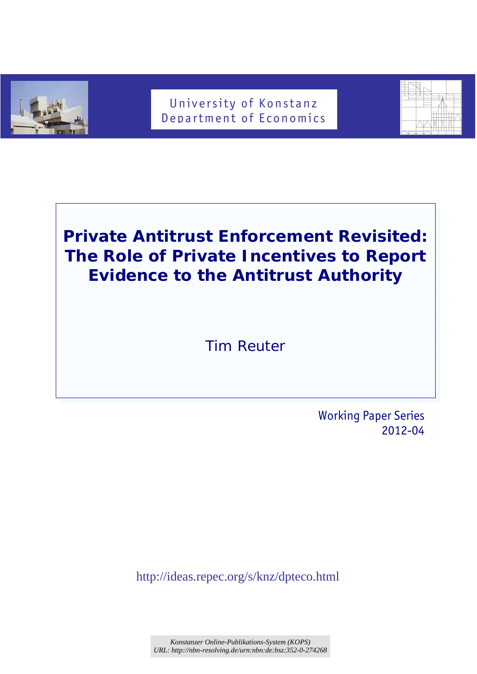

## University of Konstanz Department of Economics



# **Private Antitrust Enforcement Revisited: The Role of Private Incentives to Report Evidence to the Antitrust Authority**

*Tim Reuter* 

 Working Paper Series 2012-04

http://ideas.repec.org/s/knz/dpteco.html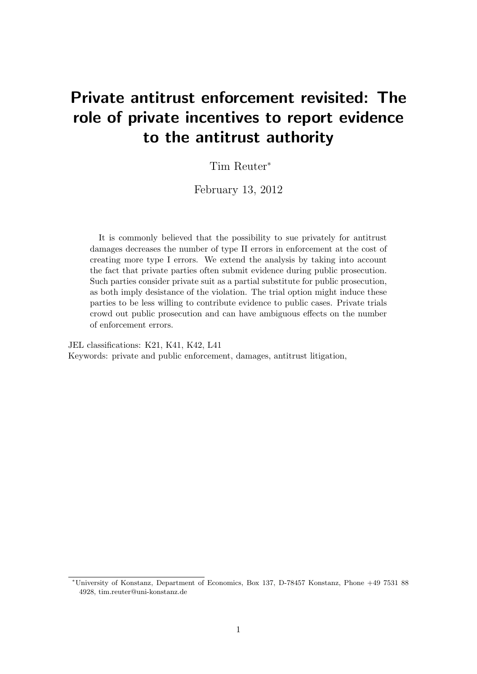## Private antitrust enforcement revisited: The role of private incentives to report evidence to the antitrust authority

Tim Reuter<sup>∗</sup>

February 13, 2012

It is commonly believed that the possibility to sue privately for antitrust damages decreases the number of type II errors in enforcement at the cost of creating more type I errors. We extend the analysis by taking into account the fact that private parties often submit evidence during public prosecution. Such parties consider private suit as a partial substitute for public prosecution, as both imply desistance of the violation. The trial option might induce these parties to be less willing to contribute evidence to public cases. Private trials crowd out public prosecution and can have ambiguous effects on the number of enforcement errors.

JEL classifications: K21, K41, K42, L41 Keywords: private and public enforcement, damages, antitrust litigation,

<sup>∗</sup>University of Konstanz, Department of Economics, Box 137, D-78457 Konstanz, Phone +49 7531 88 4928, tim.reuter@uni-konstanz.de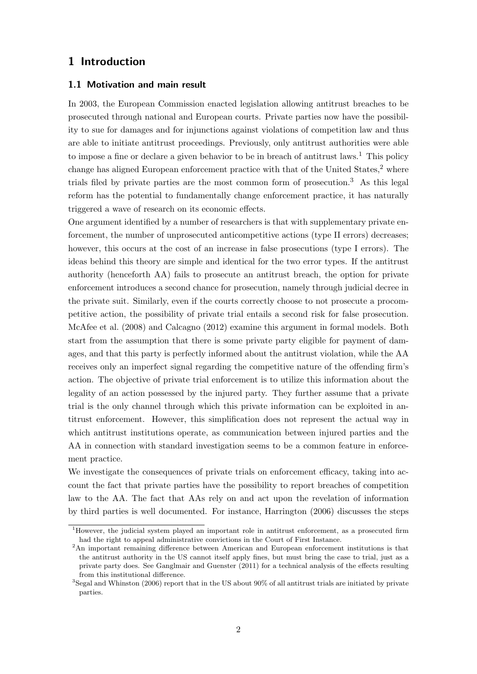## 1 Introduction

#### 1.1 Motivation and main result

In 2003, the European Commission enacted legislation allowing antitrust breaches to be prosecuted through national and European courts. Private parties now have the possibility to sue for damages and for injunctions against violations of competition law and thus are able to initiate antitrust proceedings. Previously, only antitrust authorities were able to impose a fine or declare a given behavior to be in breach of antitrust laws.<sup>1</sup> This policy change has aligned European enforcement practice with that of the United States,<sup>2</sup> where trials filed by private parties are the most common form of prosecution.<sup>3</sup> As this legal reform has the potential to fundamentally change enforcement practice, it has naturally triggered a wave of research on its economic effects.

One argument identified by a number of researchers is that with supplementary private enforcement, the number of unprosecuted anticompetitive actions (type II errors) decreases; however, this occurs at the cost of an increase in false prosecutions (type I errors). The ideas behind this theory are simple and identical for the two error types. If the antitrust authority (henceforth AA) fails to prosecute an antitrust breach, the option for private enforcement introduces a second chance for prosecution, namely through judicial decree in the private suit. Similarly, even if the courts correctly choose to not prosecute a procompetitive action, the possibility of private trial entails a second risk for false prosecution. McAfee et al. (2008) and Calcagno (2012) examine this argument in formal models. Both start from the assumption that there is some private party eligible for payment of damages, and that this party is perfectly informed about the antitrust violation, while the AA receives only an imperfect signal regarding the competitive nature of the offending firm's action. The objective of private trial enforcement is to utilize this information about the legality of an action possessed by the injured party. They further assume that a private trial is the only channel through which this private information can be exploited in antitrust enforcement. However, this simplification does not represent the actual way in which antitrust institutions operate, as communication between injured parties and the AA in connection with standard investigation seems to be a common feature in enforcement practice.

We investigate the consequences of private trials on enforcement efficacy, taking into account the fact that private parties have the possibility to report breaches of competition law to the AA. The fact that AAs rely on and act upon the revelation of information by third parties is well documented. For instance, Harrington (2006) discusses the steps

 $1$ However, the judicial system played an important role in antitrust enforcement, as a prosecuted firm had the right to appeal administrative convictions in the Court of First Instance.

<sup>&</sup>lt;sup>2</sup>An important remaining difference between American and European enforcement institutions is that the antitrust authority in the US cannot itself apply fines, but must bring the case to trial, just as a private party does. See Ganglmair and Guenster (2011) for a technical analysis of the effects resulting from this institutional difference.

<sup>3</sup>Segal and Whinston (2006) report that in the US about 90% of all antitrust trials are initiated by private parties.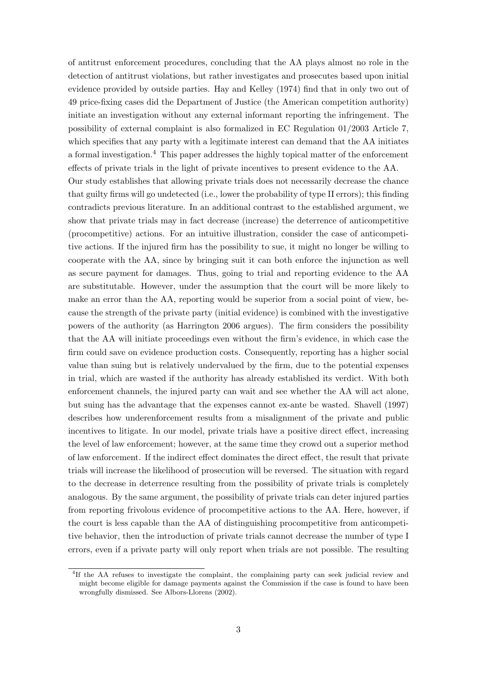of antitrust enforcement procedures, concluding that the AA plays almost no role in the detection of antitrust violations, but rather investigates and prosecutes based upon initial evidence provided by outside parties. Hay and Kelley (1974) find that in only two out of 49 price-fixing cases did the Department of Justice (the American competition authority) initiate an investigation without any external informant reporting the infringement. The possibility of external complaint is also formalized in EC Regulation 01/2003 Article 7, which specifies that any party with a legitimate interest can demand that the AA initiates a formal investigation.<sup>4</sup> This paper addresses the highly topical matter of the enforcement effects of private trials in the light of private incentives to present evidence to the AA. Our study establishes that allowing private trials does not necessarily decrease the chance that guilty firms will go undetected (i.e., lower the probability of type II errors); this finding contradicts previous literature. In an additional contrast to the established argument, we show that private trials may in fact decrease (increase) the deterrence of anticompetitive (procompetitive) actions. For an intuitive illustration, consider the case of anticompetitive actions. If the injured firm has the possibility to sue, it might no longer be willing to cooperate with the AA, since by bringing suit it can both enforce the injunction as well as secure payment for damages. Thus, going to trial and reporting evidence to the AA are substitutable. However, under the assumption that the court will be more likely to make an error than the AA, reporting would be superior from a social point of view, because the strength of the private party (initial evidence) is combined with the investigative powers of the authority (as Harrington 2006 argues). The firm considers the possibility that the AA will initiate proceedings even without the firm's evidence, in which case the firm could save on evidence production costs. Consequently, reporting has a higher social value than suing but is relatively undervalued by the firm, due to the potential expenses in trial, which are wasted if the authority has already established its verdict. With both enforcement channels, the injured party can wait and see whether the AA will act alone, but suing has the advantage that the expenses cannot ex-ante be wasted. Shavell (1997) describes how underenforcement results from a misalignment of the private and public incentives to litigate. In our model, private trials have a positive direct effect, increasing the level of law enforcement; however, at the same time they crowd out a superior method of law enforcement. If the indirect effect dominates the direct effect, the result that private trials will increase the likelihood of prosecution will be reversed. The situation with regard to the decrease in deterrence resulting from the possibility of private trials is completely analogous. By the same argument, the possibility of private trials can deter injured parties from reporting frivolous evidence of procompetitive actions to the AA. Here, however, if the court is less capable than the AA of distinguishing procompetitive from anticompetitive behavior, then the introduction of private trials cannot decrease the number of type I errors, even if a private party will only report when trials are not possible. The resulting

<sup>&</sup>lt;sup>4</sup>If the AA refuses to investigate the complaint, the complaining party can seek judicial review and might become eligible for damage payments against the Commission if the case is found to have been wrongfully dismissed. See Albors-Llorens (2002).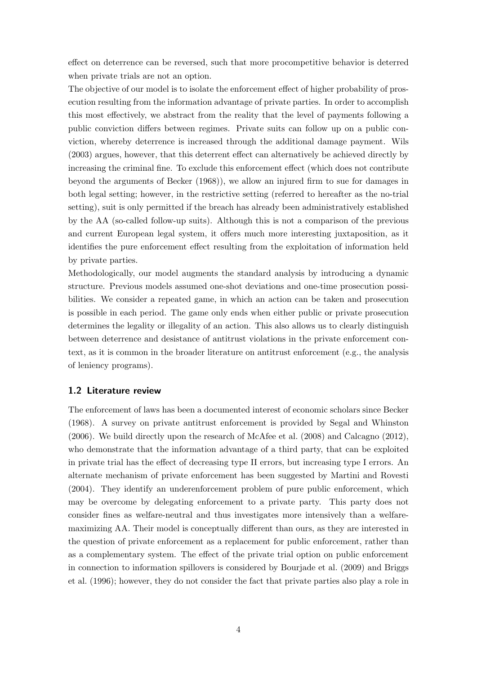effect on deterrence can be reversed, such that more procompetitive behavior is deterred when private trials are not an option.

The objective of our model is to isolate the enforcement effect of higher probability of prosecution resulting from the information advantage of private parties. In order to accomplish this most effectively, we abstract from the reality that the level of payments following a public conviction differs between regimes. Private suits can follow up on a public conviction, whereby deterrence is increased through the additional damage payment. Wils (2003) argues, however, that this deterrent effect can alternatively be achieved directly by increasing the criminal fine. To exclude this enforcement effect (which does not contribute beyond the arguments of Becker (1968)), we allow an injured firm to sue for damages in both legal setting; however, in the restrictive setting (referred to hereafter as the no-trial setting), suit is only permitted if the breach has already been administratively established by the AA (so-called follow-up suits). Although this is not a comparison of the previous and current European legal system, it offers much more interesting juxtaposition, as it identifies the pure enforcement effect resulting from the exploitation of information held by private parties.

Methodologically, our model augments the standard analysis by introducing a dynamic structure. Previous models assumed one-shot deviations and one-time prosecution possibilities. We consider a repeated game, in which an action can be taken and prosecution is possible in each period. The game only ends when either public or private prosecution determines the legality or illegality of an action. This also allows us to clearly distinguish between deterrence and desistance of antitrust violations in the private enforcement context, as it is common in the broader literature on antitrust enforcement (e.g., the analysis of leniency programs).

#### 1.2 Literature review

The enforcement of laws has been a documented interest of economic scholars since Becker (1968). A survey on private antitrust enforcement is provided by Segal and Whinston (2006). We build directly upon the research of McAfee et al. (2008) and Calcagno (2012), who demonstrate that the information advantage of a third party, that can be exploited in private trial has the effect of decreasing type II errors, but increasing type I errors. An alternate mechanism of private enforcement has been suggested by Martini and Rovesti (2004). They identify an underenforcement problem of pure public enforcement, which may be overcome by delegating enforcement to a private party. This party does not consider fines as welfare-neutral and thus investigates more intensively than a welfaremaximizing AA. Their model is conceptually different than ours, as they are interested in the question of private enforcement as a replacement for public enforcement, rather than as a complementary system. The effect of the private trial option on public enforcement in connection to information spillovers is considered by Bourjade et al. (2009) and Briggs et al. (1996); however, they do not consider the fact that private parties also play a role in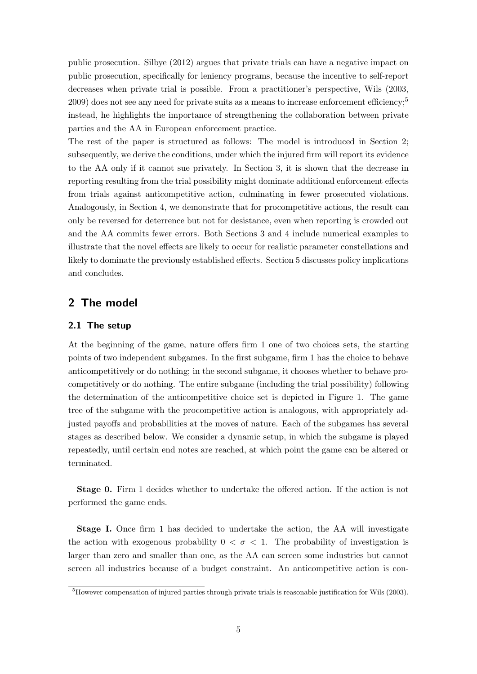public prosecution. Silbye (2012) argues that private trials can have a negative impact on public prosecution, specifically for leniency programs, because the incentive to self-report decreases when private trial is possible. From a practitioner's perspective, Wils (2003, 2009) does not see any need for private suits as a means to increase enforcement efficiency;<sup>5</sup> instead, he highlights the importance of strengthening the collaboration between private parties and the AA in European enforcement practice.

The rest of the paper is structured as follows: The model is introduced in Section 2; subsequently, we derive the conditions, under which the injured firm will report its evidence to the AA only if it cannot sue privately. In Section 3, it is shown that the decrease in reporting resulting from the trial possibility might dominate additional enforcement effects from trials against anticompetitive action, culminating in fewer prosecuted violations. Analogously, in Section 4, we demonstrate that for procompetitive actions, the result can only be reversed for deterrence but not for desistance, even when reporting is crowded out and the AA commits fewer errors. Both Sections 3 and 4 include numerical examples to illustrate that the novel effects are likely to occur for realistic parameter constellations and likely to dominate the previously established effects. Section 5 discusses policy implications and concludes.

## 2 The model

#### 2.1 The setup

At the beginning of the game, nature offers firm 1 one of two choices sets, the starting points of two independent subgames. In the first subgame, firm 1 has the choice to behave anticompetitively or do nothing; in the second subgame, it chooses whether to behave procompetitively or do nothing. The entire subgame (including the trial possibility) following the determination of the anticompetitive choice set is depicted in Figure 1. The game tree of the subgame with the procompetitive action is analogous, with appropriately adjusted payoffs and probabilities at the moves of nature. Each of the subgames has several stages as described below. We consider a dynamic setup, in which the subgame is played repeatedly, until certain end notes are reached, at which point the game can be altered or terminated.

Stage 0. Firm 1 decides whether to undertake the offered action. If the action is not performed the game ends.

Stage I. Once firm 1 has decided to undertake the action, the AA will investigate the action with exogenous probability  $0 < \sigma < 1$ . The probability of investigation is larger than zero and smaller than one, as the AA can screen some industries but cannot screen all industries because of a budget constraint. An anticompetitive action is con-

<sup>&</sup>lt;sup>5</sup>However compensation of injured parties through private trials is reasonable justification for Wils (2003).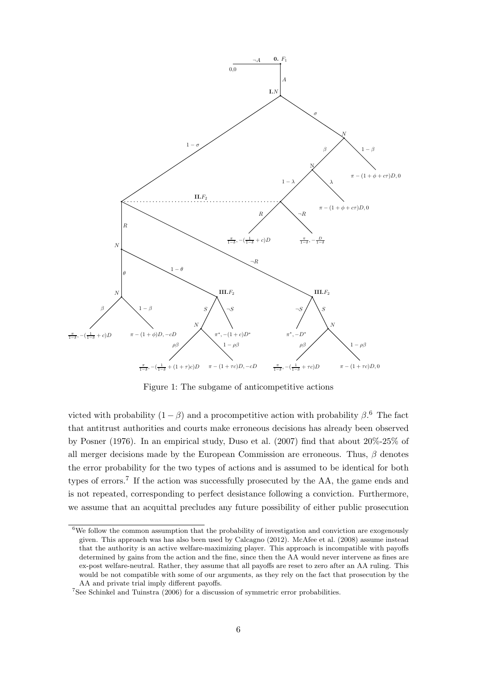

Figure 1: The subgame of anticompetitive actions

victed with probability  $(1 - \beta)$  and a procompetitive action with probability  $\beta$ .<sup>6</sup> The fact that antitrust authorities and courts make erroneous decisions has already been observed by Posner (1976). In an empirical study, Duso et al. (2007) find that about 20%-25% of all merger decisions made by the European Commission are erroneous. Thus,  $\beta$  denotes the error probability for the two types of actions and is assumed to be identical for both types of errors.<sup>7</sup> If the action was successfully prosecuted by the AA, the game ends and is not repeated, corresponding to perfect desistance following a conviction. Furthermore, we assume that an acquittal precludes any future possibility of either public prosecution

 $6$ We follow the common assumption that the probability of investigation and conviction are exogenously given. This approach was has also been used by Calcagno (2012). McAfee et al. (2008) assume instead that the authority is an active welfare-maximizing player. This approach is incompatible with payoffs determined by gains from the action and the fine, since then the AA would never intervene as fines are ex-post welfare-neutral. Rather, they assume that all payoffs are reset to zero after an AA ruling. This would be not compatible with some of our arguments, as they rely on the fact that prosecution by the AA and private trial imply different payoffs.

<sup>7</sup>See Schinkel and Tuinstra (2006) for a discussion of symmetric error probabilities.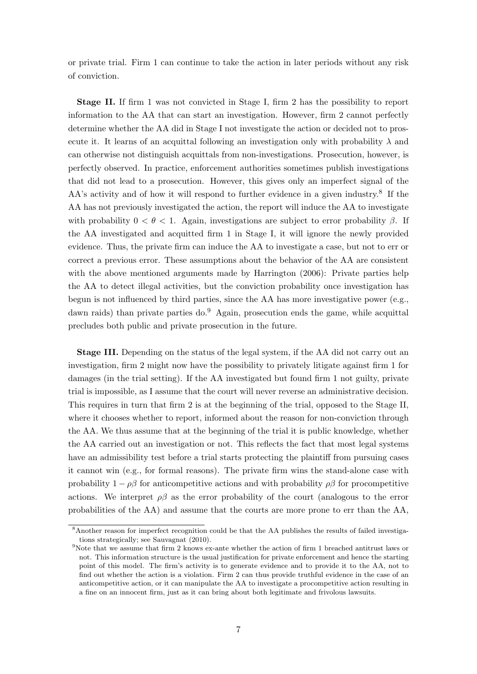or private trial. Firm 1 can continue to take the action in later periods without any risk of conviction.

Stage II. If firm 1 was not convicted in Stage I, firm 2 has the possibility to report information to the AA that can start an investigation. However, firm 2 cannot perfectly determine whether the AA did in Stage I not investigate the action or decided not to prosecute it. It learns of an acquittal following an investigation only with probability  $\lambda$  and can otherwise not distinguish acquittals from non-investigations. Prosecution, however, is perfectly observed. In practice, enforcement authorities sometimes publish investigations that did not lead to a prosecution. However, this gives only an imperfect signal of the AA's activity and of how it will respond to further evidence in a given industry.<sup>8</sup> If the AA has not previously investigated the action, the report will induce the AA to investigate with probability  $0 < \theta < 1$ . Again, investigations are subject to error probability  $\beta$ . If the AA investigated and acquitted firm 1 in Stage I, it will ignore the newly provided evidence. Thus, the private firm can induce the AA to investigate a case, but not to err or correct a previous error. These assumptions about the behavior of the AA are consistent with the above mentioned arguments made by Harrington (2006): Private parties help the AA to detect illegal activities, but the conviction probability once investigation has begun is not influenced by third parties, since the AA has more investigative power (e.g., dawn raids) than private parties do.<sup>9</sup> Again, prosecution ends the game, while acquittal precludes both public and private prosecution in the future.

Stage III. Depending on the status of the legal system, if the AA did not carry out an investigation, firm 2 might now have the possibility to privately litigate against firm 1 for damages (in the trial setting). If the AA investigated but found firm 1 not guilty, private trial is impossible, as I assume that the court will never reverse an administrative decision. This requires in turn that firm 2 is at the beginning of the trial, opposed to the Stage II, where it chooses whether to report, informed about the reason for non-conviction through the AA. We thus assume that at the beginning of the trial it is public knowledge, whether the AA carried out an investigation or not. This reflects the fact that most legal systems have an admissibility test before a trial starts protecting the plaintiff from pursuing cases it cannot win (e.g., for formal reasons). The private firm wins the stand-alone case with probability  $1 - \rho\beta$  for anticompetitive actions and with probability  $\rho\beta$  for procompetitive actions. We interpret  $\rho\beta$  as the error probability of the court (analogous to the error probabilities of the AA) and assume that the courts are more prone to err than the AA,

<sup>&</sup>lt;sup>8</sup>Another reason for imperfect recognition could be that the AA publishes the results of failed investigations strategically; see Sauvagnat (2010).

<sup>&</sup>lt;sup>9</sup>Note that we assume that firm 2 knows ex-ante whether the action of firm 1 breached antitrust laws or not. This information structure is the usual justification for private enforcement and hence the starting point of this model. The firm's activity is to generate evidence and to provide it to the AA, not to find out whether the action is a violation. Firm 2 can thus provide truthful evidence in the case of an anticompetitive action, or it can manipulate the AA to investigate a procompetitive action resulting in a fine on an innocent firm, just as it can bring about both legitimate and frivolous lawsuits.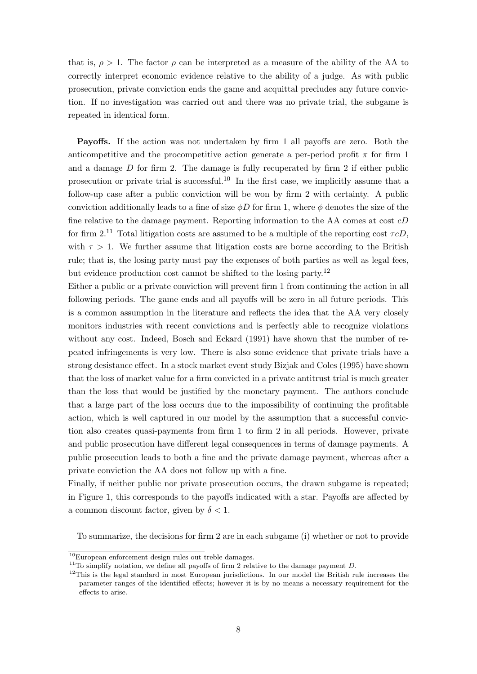that is,  $\rho > 1$ . The factor  $\rho$  can be interpreted as a measure of the ability of the AA to correctly interpret economic evidence relative to the ability of a judge. As with public prosecution, private conviction ends the game and acquittal precludes any future conviction. If no investigation was carried out and there was no private trial, the subgame is repeated in identical form.

Payoffs. If the action was not undertaken by firm 1 all payoffs are zero. Both the anticompetitive and the procompetitive action generate a per-period profit  $\pi$  for firm 1 and a damage  $D$  for firm 2. The damage is fully recuperated by firm 2 if either public prosecution or private trial is successful.<sup>10</sup> In the first case, we implicitly assume that a follow-up case after a public conviction will be won by firm 2 with certainty. A public conviction additionally leads to a fine of size  $\phi D$  for firm 1, where  $\phi$  denotes the size of the fine relative to the damage payment. Reporting information to the AA comes at cost cD for firm 2.<sup>11</sup> Total litigation costs are assumed to be a multiple of the reporting cost  $\tau cD$ . with  $\tau > 1$ . We further assume that litigation costs are borne according to the British rule; that is, the losing party must pay the expenses of both parties as well as legal fees, but evidence production cost cannot be shifted to the losing party.<sup>12</sup>

Either a public or a private conviction will prevent firm 1 from continuing the action in all following periods. The game ends and all payoffs will be zero in all future periods. This is a common assumption in the literature and reflects the idea that the AA very closely monitors industries with recent convictions and is perfectly able to recognize violations without any cost. Indeed, Bosch and Eckard (1991) have shown that the number of repeated infringements is very low. There is also some evidence that private trials have a strong desistance effect. In a stock market event study Bizjak and Coles (1995) have shown that the loss of market value for a firm convicted in a private antitrust trial is much greater than the loss that would be justified by the monetary payment. The authors conclude that a large part of the loss occurs due to the impossibility of continuing the profitable action, which is well captured in our model by the assumption that a successful conviction also creates quasi-payments from firm 1 to firm 2 in all periods. However, private and public prosecution have different legal consequences in terms of damage payments. A public prosecution leads to both a fine and the private damage payment, whereas after a private conviction the AA does not follow up with a fine.

Finally, if neither public nor private prosecution occurs, the drawn subgame is repeated; in Figure 1, this corresponds to the payoffs indicated with a star. Payoffs are affected by a common discount factor, given by  $\delta < 1$ .

To summarize, the decisions for firm 2 are in each subgame (i) whether or not to provide

 $10$ European enforcement design rules out treble damages.

<sup>&</sup>lt;sup>11</sup>To simplify notation, we define all payoffs of firm 2 relative to the damage payment D.

<sup>&</sup>lt;sup>12</sup>This is the legal standard in most European jurisdictions. In our model the British rule increases the parameter ranges of the identified effects; however it is by no means a necessary requirement for the effects to arise.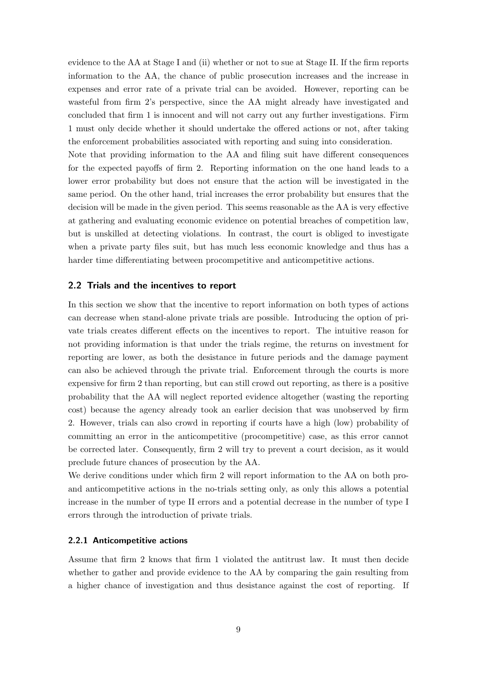evidence to the AA at Stage I and (ii) whether or not to sue at Stage II. If the firm reports information to the AA, the chance of public prosecution increases and the increase in expenses and error rate of a private trial can be avoided. However, reporting can be wasteful from firm 2's perspective, since the AA might already have investigated and concluded that firm 1 is innocent and will not carry out any further investigations. Firm 1 must only decide whether it should undertake the offered actions or not, after taking the enforcement probabilities associated with reporting and suing into consideration.

Note that providing information to the AA and filing suit have different consequences for the expected payoffs of firm 2. Reporting information on the one hand leads to a lower error probability but does not ensure that the action will be investigated in the same period. On the other hand, trial increases the error probability but ensures that the decision will be made in the given period. This seems reasonable as the AA is very effective at gathering and evaluating economic evidence on potential breaches of competition law, but is unskilled at detecting violations. In contrast, the court is obliged to investigate when a private party files suit, but has much less economic knowledge and thus has a harder time differentiating between procompetitive and anticompetitive actions.

#### 2.2 Trials and the incentives to report

In this section we show that the incentive to report information on both types of actions can decrease when stand-alone private trials are possible. Introducing the option of private trials creates different effects on the incentives to report. The intuitive reason for not providing information is that under the trials regime, the returns on investment for reporting are lower, as both the desistance in future periods and the damage payment can also be achieved through the private trial. Enforcement through the courts is more expensive for firm 2 than reporting, but can still crowd out reporting, as there is a positive probability that the AA will neglect reported evidence altogether (wasting the reporting cost) because the agency already took an earlier decision that was unobserved by firm 2. However, trials can also crowd in reporting if courts have a high (low) probability of committing an error in the anticompetitive (procompetitive) case, as this error cannot be corrected later. Consequently, firm 2 will try to prevent a court decision, as it would preclude future chances of prosecution by the AA.

We derive conditions under which firm 2 will report information to the AA on both proand anticompetitive actions in the no-trials setting only, as only this allows a potential increase in the number of type II errors and a potential decrease in the number of type I errors through the introduction of private trials.

#### 2.2.1 Anticompetitive actions

Assume that firm 2 knows that firm 1 violated the antitrust law. It must then decide whether to gather and provide evidence to the AA by comparing the gain resulting from a higher chance of investigation and thus desistance against the cost of reporting. If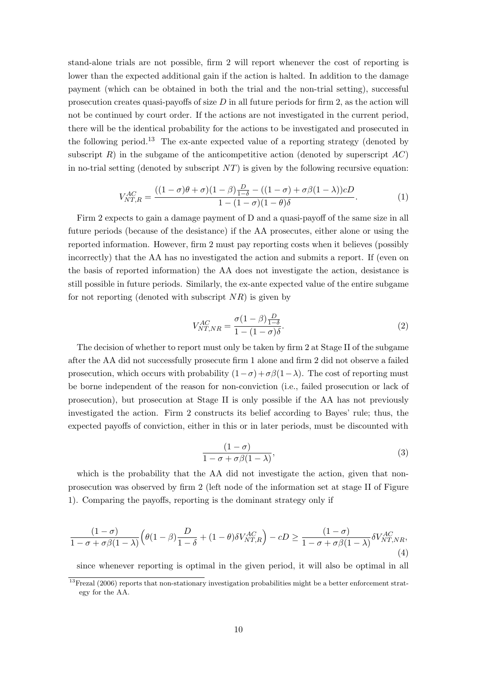stand-alone trials are not possible, firm 2 will report whenever the cost of reporting is lower than the expected additional gain if the action is halted. In addition to the damage payment (which can be obtained in both the trial and the non-trial setting), successful prosecution creates quasi-payoffs of size  $D$  in all future periods for firm 2, as the action will not be continued by court order. If the actions are not investigated in the current period, there will be the identical probability for the actions to be investigated and prosecuted in the following period.<sup>13</sup> The ex-ante expected value of a reporting strategy (denoted by subscript  $R$ ) in the subgame of the anticompetitive action (denoted by superscript  $AC$ ) in no-trial setting (denoted by subscript  $NT$ ) is given by the following recursive equation:

$$
V_{NT,R}^{AC} = \frac{((1-\sigma)\theta + \sigma)(1-\beta)\frac{D}{1-\delta} - ((1-\sigma) + \sigma\beta(1-\lambda))cD}{1 - (1-\sigma)(1-\theta)\delta}.
$$
 (1)

Firm 2 expects to gain a damage payment of D and a quasi-payoff of the same size in all future periods (because of the desistance) if the AA prosecutes, either alone or using the reported information. However, firm 2 must pay reporting costs when it believes (possibly incorrectly) that the AA has no investigated the action and submits a report. If (even on the basis of reported information) the AA does not investigate the action, desistance is still possible in future periods. Similarly, the ex-ante expected value of the entire subgame for not reporting (denoted with subscript  $NR$ ) is given by

$$
V_{NT, NR}^{AC} = \frac{\sigma (1 - \beta) \frac{D}{1 - \delta}}{1 - (1 - \sigma)\delta}.
$$
\n(2)

The decision of whether to report must only be taken by firm 2 at Stage II of the subgame after the AA did not successfully prosecute firm 1 alone and firm 2 did not observe a failed prosecution, which occurs with probability  $(1-\sigma)+\sigma\beta(1-\lambda)$ . The cost of reporting must be borne independent of the reason for non-conviction (i.e., failed prosecution or lack of prosecution), but prosecution at Stage II is only possible if the AA has not previously investigated the action. Firm 2 constructs its belief according to Bayes' rule; thus, the expected payoffs of conviction, either in this or in later periods, must be discounted with

$$
\frac{(1-\sigma)}{1-\sigma+\sigma\beta(1-\lambda)},\tag{3}
$$

which is the probability that the AA did not investigate the action, given that nonprosecution was observed by firm 2 (left node of the information set at stage II of Figure 1). Comparing the payoffs, reporting is the dominant strategy only if

$$
\frac{(1-\sigma)}{1-\sigma+\sigma\beta(1-\lambda)}\Big(\theta(1-\beta)\frac{D}{1-\delta}+(1-\theta)\delta V_{NT,R}^{AC}\Big)-cD\geq \frac{(1-\sigma)}{1-\sigma+\sigma\beta(1-\lambda)}\delta V_{NT,NR}^{AC},\tag{4}
$$

since whenever reporting is optimal in the given period, it will also be optimal in all

<sup>&</sup>lt;sup>13</sup>Frezal (2006) reports that non-stationary investigation probabilities might be a better enforcement strategy for the AA.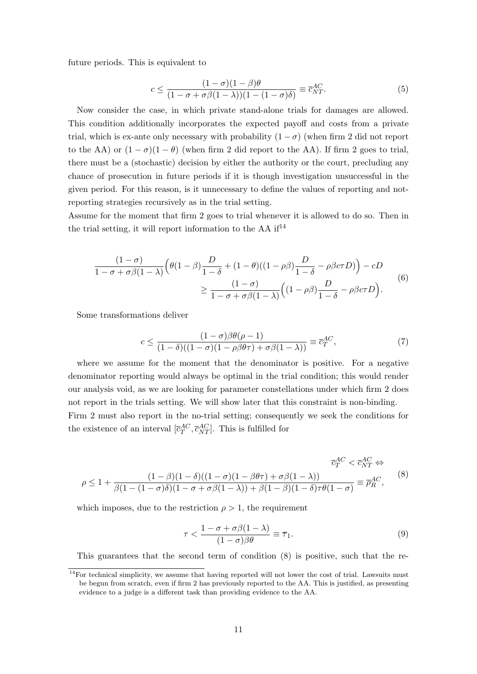future periods. This is equivalent to

$$
c \le \frac{(1-\sigma)(1-\beta)\theta}{(1-\sigma+\sigma\beta(1-\lambda))(1-(1-\sigma)\delta)} \equiv \overline{c}_{NT}^{AC}.
$$
 (5)

Now consider the case, in which private stand-alone trials for damages are allowed. This condition additionally incorporates the expected payoff and costs from a private trial, which is ex-ante only necessary with probability  $(1 - \sigma)$  (when firm 2 did not report to the AA) or  $(1 - \sigma)(1 - \theta)$  (when firm 2 did report to the AA). If firm 2 goes to trial, there must be a (stochastic) decision by either the authority or the court, precluding any chance of prosecution in future periods if it is though investigation unsuccessful in the given period. For this reason, is it unnecessary to define the values of reporting and notreporting strategies recursively as in the trial setting.

Assume for the moment that firm 2 goes to trial whenever it is allowed to do so. Then in the trial setting, it will report information to the AA  $if<sup>14</sup>$ 

$$
\frac{(1-\sigma)}{1-\sigma+\sigma\beta(1-\lambda)}\Big(\theta(1-\beta)\frac{D}{1-\delta}+(1-\theta)((1-\rho\beta)\frac{D}{1-\delta}-\rho\beta c\tau D)\Big)-cD
$$
\n
$$
\geq \frac{(1-\sigma)}{1-\sigma+\sigma\beta(1-\lambda)}\Big((1-\rho\beta)\frac{D}{1-\delta}-\rho\beta c\tau D\Big).
$$
\n(6)

Some transformations deliver

$$
c \le \frac{(1-\sigma)\beta\theta(\rho-1)}{(1-\delta)((1-\sigma)(1-\rho)\theta\tau) + \sigma\beta(1-\lambda))} \equiv \overline{c}_T^{AC},\tag{7}
$$

where we assume for the moment that the denominator is positive. For a negative denominator reporting would always be optimal in the trial condition; this would render our analysis void, as we are looking for parameter constellations under which firm 2 does not report in the trials setting. We will show later that this constraint is non-binding. Firm 2 must also report in the no-trial setting; consequently we seek the conditions for the existence of an interval  $[\bar{c}_T^{AC}, \bar{c}_{NT}^{AC}]$ . This is fulfilled for

$$
\overline{c}_{T}^{AC} < \overline{c}_{NT}^{AC} \Leftrightarrow
$$
\n
$$
\rho \le 1 + \frac{(1-\beta)(1-\delta)((1-\sigma)(1-\beta\theta\tau) + \sigma\beta(1-\lambda))}{\beta(1-(1-\sigma)\delta)(1-\sigma+\sigma\beta(1-\lambda)) + \beta(1-\beta)(1-\delta)\tau\theta(1-\sigma)} \equiv \overline{\rho}_{R}^{AC},
$$
\n(8)

which imposes, due to the restriction  $\rho > 1$ , the requirement

$$
\tau < \frac{1 - \sigma + \sigma \beta (1 - \lambda)}{(1 - \sigma)\beta \theta} \equiv \overline{\tau}_1. \tag{9}
$$

This guarantees that the second term of condition (8) is positive, such that the re-

 $14$ For technical simplicity, we assume that having reported will not lower the cost of trial. Lawsuits must be begun from scratch, even if firm 2 has previously reported to the AA. This is justified, as presenting evidence to a judge is a different task than providing evidence to the AA.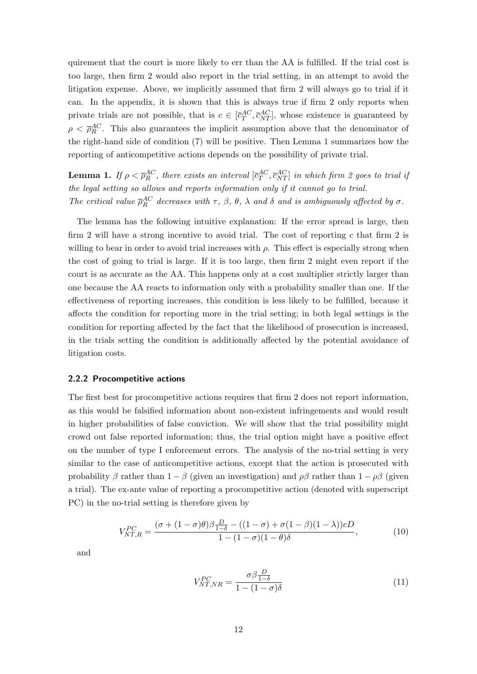quirement that the court is more likely to err than the AA is fulfilled. If the trial cost is too large, then firm 2 would also report in the trial setting, in an attempt to avoid the litigation expense. Above, we implicitly assumed that firm 2 will always go to trial if it can. In the appendix, it is shown that this is always true if firm 2 only reports when private trials are not possible, that is  $c \in [\bar{c}_T^{AC}, \bar{c}_{NT}^{AC}]$ , whose existence is guaranteed by  $\rho < \bar{p}_R^{AC}$ . This also guarantees the implicit assumption above that the denominator of the right-hand side of condition (7) will be positive. Then Lemma 1 summarizes how the reporting of anticompetitive actions depends on the possibility of private trial.

**Lemma 1.** If  $\rho < \overline{\rho}_R^{AC}$ , there exists an interval  $[\overline{c}_T^{AC}, \overline{c}_{NT}^{AC}]$  in which firm 2 goes to trial if the legal setting so allows and reports information only if it cannot go to trial. The critical value  $\bar{p}_R^{AC}$  decreases with  $\tau$ ,  $\beta$ ,  $\theta$ ,  $\lambda$  and  $\delta$  and is ambiguously affected by  $\sigma$ .

The lemma has the following intuitive explanation: If the error spread is large, then firm 2 will have a strong incentive to avoid trial. The cost of reporting c that firm 2 is willing to bear in order to avoid trial increases with  $\rho$ . This effect is especially strong when the cost of going to trial is large. If it is too large, then firm 2 might even report if the court is as accurate as the AA. This happens only at a cost multiplier strictly larger than one because the AA reacts to information only with a probability smaller than one. If the effectiveness of reporting increases, this condition is less likely to be fulfilled, because it affects the condition for reporting more in the trial setting; in both legal settings is the condition for reporting affected by the fact that the likelihood of prosecution is increased, in the trials setting the condition is additionally affected by the potential avoidance of litigation costs.

#### 2.2.2 Procompetitive actions

The first best for procompetitive actions requires that firm 2 does not report information, as this would be falsified information about non-existent infringements and would result in higher probabilities of false conviction. We will show that the trial possibility might crowd out false reported information; thus, the trial option might have a positive effect on the number of type I enforcement errors. The analysis of the no-trial setting is very similar to the case of anticompetitive actions, except that the action is prosecuted with probability  $\beta$  rather than  $1 - \beta$  (given an investigation) and  $\rho\beta$  rather than  $1 - \rho\beta$  (given a trial). The ex-ante value of reporting a procompetitive action (denoted with superscript PC) in the no-trial setting is therefore given by

$$
V_{NT,R}^{PC} = \frac{(\sigma + (1 - \sigma)\theta)\beta \frac{D}{1 - \delta} - ((1 - \sigma) + \sigma(1 - \beta)(1 - \lambda))cD}{1 - (1 - \sigma)(1 - \theta)\delta},\tag{10}
$$

and

$$
V_{NT, NR}^{PC} = \frac{\sigma \beta \frac{D}{1-\delta}}{1 - (1-\sigma)\delta}
$$
\n(11)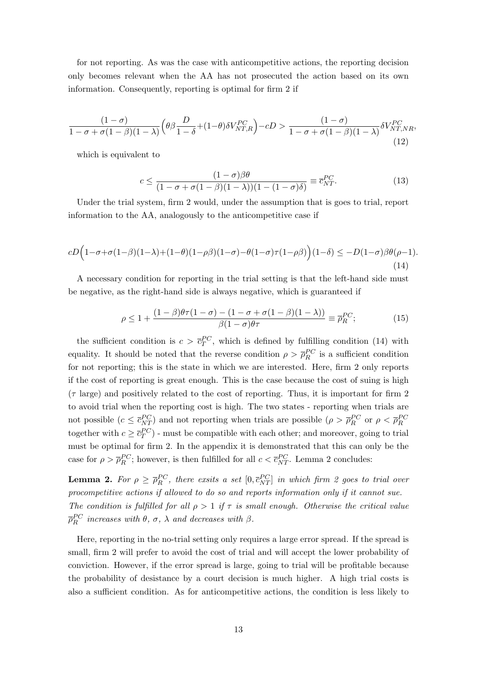for not reporting. As was the case with anticompetitive actions, the reporting decision only becomes relevant when the AA has not prosecuted the action based on its own information. Consequently, reporting is optimal for firm 2 if

$$
\frac{(1-\sigma)}{1-\sigma+\sigma(1-\beta)(1-\lambda)} \left(\theta\beta \frac{D}{1-\delta} + (1-\theta)\delta V_{NT,R}^{PC}\right) - cD > \frac{(1-\sigma)}{1-\sigma+\sigma(1-\beta)(1-\lambda)} \delta V_{NT,NR}^{PC},\tag{12}
$$

which is equivalent to

$$
c \le \frac{(1-\sigma)\beta\theta}{(1-\sigma+\sigma(1-\beta)(1-\lambda))(1-(1-\sigma)\delta)} \equiv \overline{c}_{NT}^{PC}.
$$
 (13)

Under the trial system, firm 2 would, under the assumption that is goes to trial, report information to the AA, analogously to the anticompetitive case if

$$
cD\Big(1-\sigma+\sigma(1-\beta)(1-\lambda)+(1-\theta)(1-\rho\beta)(1-\sigma)-\theta(1-\sigma)\tau(1-\rho\beta)\Big)(1-\delta) \le -D(1-\sigma)\beta\theta(\rho-1).
$$
\n(14)

A necessary condition for reporting in the trial setting is that the left-hand side must be negative, as the right-hand side is always negative, which is guaranteed if

$$
\rho \le 1 + \frac{(1 - \beta)\theta\tau(1 - \sigma) - (1 - \sigma + \sigma(1 - \beta)(1 - \lambda))}{\beta(1 - \sigma)\theta\tau} \equiv \overline{\rho}_R^{PC};
$$
(15)

the sufficient condition is  $c > \bar{c}_T^{PC}$ , which is defined by fulfilling condition (14) with equality. It should be noted that the reverse condition  $\rho > \bar{\rho}_R^{PC}$  is a sufficient condition for not reporting; this is the state in which we are interested. Here, firm 2 only reports if the cost of reporting is great enough. This is the case because the cost of suing is high  $(\tau \text{ large})$  and positively related to the cost of reporting. Thus, it is important for firm 2 to avoid trial when the reporting cost is high. The two states - reporting when trials are not possible  $(c \leq \bar{c}_{NT}^{PC})$  and not reporting when trials are possible  $(\rho > \bar{\rho}_{R}^{PC})$  or  $\rho < \bar{\rho}_{R}^{PC}$ together with  $c \geq \bar{c}_T^{PC}$ ) - must be compatible with each other; and moreover, going to trial must be optimal for firm 2. In the appendix it is demonstrated that this can only be the case for  $\rho > \bar{\rho}_R^{PC}$ ; however, is then fulfilled for all  $c < \bar{c}_{NT}^{PC}$ . Lemma 2 concludes:

**Lemma 2.** For  $\rho \ge \overline{\rho}_R^{PC}$ , there exsits a set  $[0, \overline{c}_{NT}^{PC}]$  in which firm 2 goes to trial over procompetitive actions if allowed to do so and reports information only if it cannot sue. The condition is fulfilled for all  $\rho > 1$  if  $\tau$  is small enough. Otherwise the critical value  $\overline{\rho}_{R}^{PC}$  increases with  $\theta$ ,  $\sigma$ ,  $\lambda$  and decreases with  $\beta$ .

Here, reporting in the no-trial setting only requires a large error spread. If the spread is small, firm 2 will prefer to avoid the cost of trial and will accept the lower probability of conviction. However, if the error spread is large, going to trial will be profitable because the probability of desistance by a court decision is much higher. A high trial costs is also a sufficient condition. As for anticompetitive actions, the condition is less likely to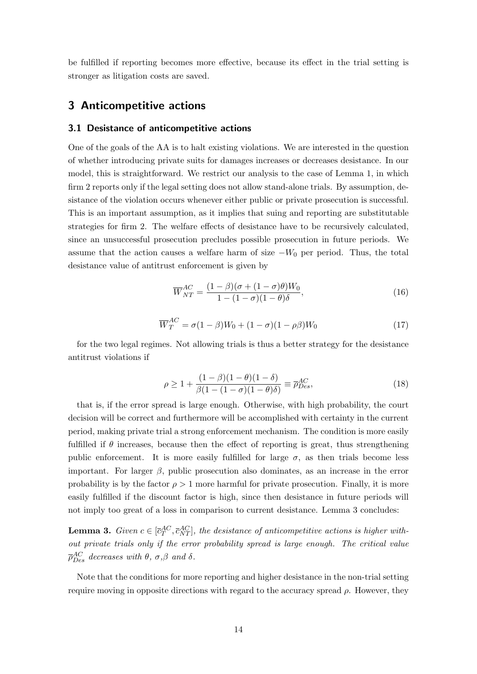be fulfilled if reporting becomes more effective, because its effect in the trial setting is stronger as litigation costs are saved.

### 3 Anticompetitive actions

#### 3.1 Desistance of anticompetitive actions

One of the goals of the AA is to halt existing violations. We are interested in the question of whether introducing private suits for damages increases or decreases desistance. In our model, this is straightforward. We restrict our analysis to the case of Lemma 1, in which firm 2 reports only if the legal setting does not allow stand-alone trials. By assumption, desistance of the violation occurs whenever either public or private prosecution is successful. This is an important assumption, as it implies that suing and reporting are substitutable strategies for firm 2. The welfare effects of desistance have to be recursively calculated, since an unsuccessful prosecution precludes possible prosecution in future periods. We assume that the action causes a welfare harm of size  $-W_0$  per period. Thus, the total desistance value of antitrust enforcement is given by

$$
\overline{W}_{NT}^{AC} = \frac{(1-\beta)(\sigma + (1-\sigma)\theta)W_0}{1 - (1-\sigma)(1-\theta)\delta},\tag{16}
$$

$$
\overline{W}_T^{AC} = \sigma(1-\beta)W_0 + (1-\sigma)(1-\rho\beta)W_0
$$
\n(17)

for the two legal regimes. Not allowing trials is thus a better strategy for the desistance antitrust violations if

$$
\rho \ge 1 + \frac{(1 - \beta)(1 - \theta)(1 - \delta)}{\beta(1 - (1 - \sigma)(1 - \theta)\delta)} \equiv \overline{\rho}_{Des}^{AC},
$$
\n(18)

that is, if the error spread is large enough. Otherwise, with high probability, the court decision will be correct and furthermore will be accomplished with certainty in the current period, making private trial a strong enforcement mechanism. The condition is more easily fulfilled if  $\theta$  increases, because then the effect of reporting is great, thus strengthening public enforcement. It is more easily fulfilled for large  $\sigma$ , as then trials become less important. For larger  $\beta$ , public prosecution also dominates, as an increase in the error probability is by the factor  $\rho > 1$  more harmful for private prosecution. Finally, it is more easily fulfilled if the discount factor is high, since then desistance in future periods will not imply too great of a loss in comparison to current desistance. Lemma 3 concludes:

**Lemma 3.** Given  $c \in [\bar{c}_T^{AC}, \bar{c}_{NT}^{AC}]$ , the desistance of anticompetitive actions is higher without private trials only if the error probability spread is large enough. The critical value  $\overline{\rho}^{AC}_{Des}$  decreases with  $\theta$ ,  $\sigma$ , $\beta$  and  $\delta$ .

Note that the conditions for more reporting and higher desistance in the non-trial setting require moving in opposite directions with regard to the accuracy spread  $\rho$ . However, they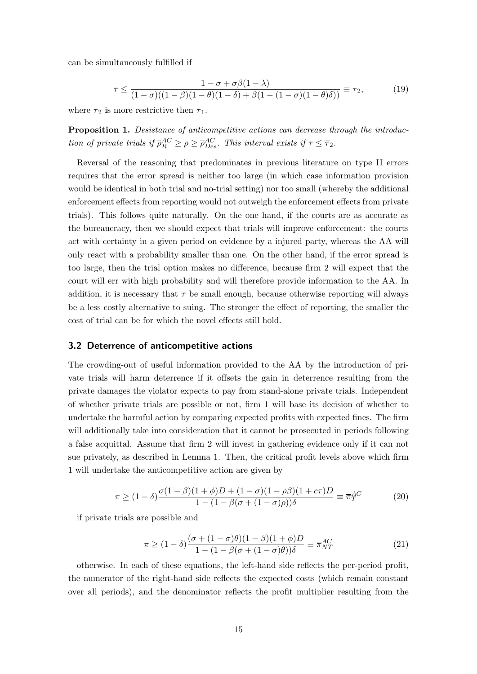can be simultaneously fulfilled if

$$
\tau \le \frac{1 - \sigma + \sigma \beta (1 - \lambda)}{(1 - \sigma)((1 - \beta)(1 - \theta)(1 - \delta) + \beta(1 - (1 - \sigma)(1 - \theta)\delta))} \equiv \overline{\tau}_2,
$$
(19)

where  $\overline{\tau}_2$  is more restrictive then  $\overline{\tau}_1$ .

**Proposition 1.** Desistance of anticompetitive actions can decrease through the introduction of private trials if  $\overline{\rho}_R^{AC} \ge \rho \ge \overline{\rho}_{Des}^{AC}$ . This interval exists if  $\tau \le \overline{\tau}_2$ .

Reversal of the reasoning that predominates in previous literature on type II errors requires that the error spread is neither too large (in which case information provision would be identical in both trial and no-trial setting) nor too small (whereby the additional enforcement effects from reporting would not outweigh the enforcement effects from private trials). This follows quite naturally. On the one hand, if the courts are as accurate as the bureaucracy, then we should expect that trials will improve enforcement: the courts act with certainty in a given period on evidence by a injured party, whereas the AA will only react with a probability smaller than one. On the other hand, if the error spread is too large, then the trial option makes no difference, because firm 2 will expect that the court will err with high probability and will therefore provide information to the AA. In addition, it is necessary that  $\tau$  be small enough, because otherwise reporting will always be a less costly alternative to suing. The stronger the effect of reporting, the smaller the cost of trial can be for which the novel effects still hold.

#### 3.2 Deterrence of anticompetitive actions

The crowding-out of useful information provided to the AA by the introduction of private trials will harm deterrence if it offsets the gain in deterrence resulting from the private damages the violator expects to pay from stand-alone private trials. Independent of whether private trials are possible or not, firm 1 will base its decision of whether to undertake the harmful action by comparing expected profits with expected fines. The firm will additionally take into consideration that it cannot be prosecuted in periods following a false acquittal. Assume that firm 2 will invest in gathering evidence only if it can not sue privately, as described in Lemma 1. Then, the critical profit levels above which firm 1 will undertake the anticompetitive action are given by

$$
\pi \ge (1 - \delta) \frac{\sigma (1 - \beta)(1 + \phi)D + (1 - \sigma)(1 - \rho \beta)(1 + c\tau)D}{1 - (1 - \beta(\sigma + (1 - \sigma)\rho))\delta} \equiv \overline{\pi}_T^{AC}
$$
(20)

if private trials are possible and

$$
\pi \ge (1 - \delta) \frac{(\sigma + (1 - \sigma)\theta)(1 - \beta)(1 + \phi)D}{1 - (1 - \beta(\sigma + (1 - \sigma)\theta))\delta} \equiv \overline{\pi}_{NT}^{AC}
$$
\n(21)

otherwise. In each of these equations, the left-hand side reflects the per-period profit, the numerator of the right-hand side reflects the expected costs (which remain constant over all periods), and the denominator reflects the profit multiplier resulting from the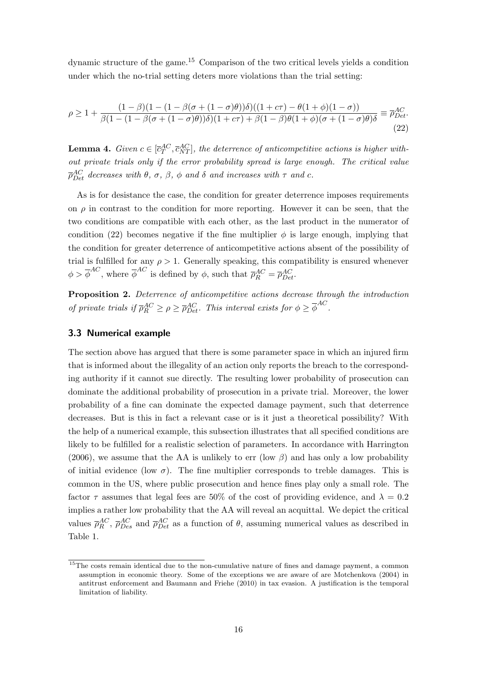dynamic structure of the game.<sup>15</sup> Comparison of the two critical levels yields a condition under which the no-trial setting deters more violations than the trial setting:

$$
\rho \ge 1 + \frac{(1-\beta)(1 - (1-\beta(\sigma + (1-\sigma)\theta))\delta)((1 + c\tau) - \theta(1+\phi)(1-\sigma))}{\beta(1 - (1-\beta(\sigma + (1-\sigma)\theta))\delta)(1 + c\tau) + \beta(1-\beta)\theta(1+\phi)(\sigma + (1-\sigma)\theta)\delta} \equiv \overline{\rho}_{Det}^{AC}.
$$
\n(22)

**Lemma 4.** Given  $c \in [\bar{c}_T^{AC}, \bar{c}_{NT}^{AC}],$  the deterrence of anticompetitive actions is higher without private trials only if the error probability spread is large enough. The critical value  $\bar{\rho}^{AC}_{Det}$  decreases with  $\theta$ ,  $\sigma$ ,  $\beta$ ,  $\phi$  and  $\delta$  and increases with  $\tau$  and  $c$ .

As is for desistance the case, the condition for greater deterrence imposes requirements on  $\rho$  in contrast to the condition for more reporting. However it can be seen, that the two conditions are compatible with each other, as the last product in the numerator of condition (22) becomes negative if the fine multiplier  $\phi$  is large enough, implying that the condition for greater deterrence of anticompetitive actions absent of the possibility of trial is fulfilled for any  $\rho > 1$ . Generally speaking, this compatibility is ensured whenever  $\phi > \overline{\phi}^{AC}$ , where  $\overline{\phi}^{AC}$  is defined by  $\phi$ , such that  $\overline{\rho}_{R}^{AC} = \overline{\rho}_{Det}^{AC}$ .

Proposition 2. Deterrence of anticompetitive actions decrease through the introduction of private trials if  $\overline{\rho}_R^{AC} \ge \rho \ge \overline{\rho}_{Det}^{AC}$ . This interval exists for  $\phi \ge \overline{\phi}^{AC}$ .

#### 3.3 Numerical example

The section above has argued that there is some parameter space in which an injured firm that is informed about the illegality of an action only reports the breach to the corresponding authority if it cannot sue directly. The resulting lower probability of prosecution can dominate the additional probability of prosecution in a private trial. Moreover, the lower probability of a fine can dominate the expected damage payment, such that deterrence decreases. But is this in fact a relevant case or is it just a theoretical possibility? With the help of a numerical example, this subsection illustrates that all specified conditions are likely to be fulfilled for a realistic selection of parameters. In accordance with Harrington (2006), we assume that the AA is unlikely to err (low  $\beta$ ) and has only a low probability of initial evidence (low  $\sigma$ ). The fine multiplier corresponds to treble damages. This is common in the US, where public prosecution and hence fines play only a small role. The factor  $\tau$  assumes that legal fees are 50% of the cost of providing evidence, and  $\lambda = 0.2$ implies a rather low probability that the AA will reveal an acquittal. We depict the critical values  $\bar{\rho}_R^{AC}$ ,  $\bar{\rho}_{Des}^{AC}$  and  $\bar{\rho}_{Det}^{AC}$  as a function of  $\theta$ , assuming numerical values as described in Table 1.

<sup>&</sup>lt;sup>15</sup>The costs remain identical due to the non-cumulative nature of fines and damage payment, a common assumption in economic theory. Some of the exceptions we are aware of are Motchenkova (2004) in antitrust enforcement and Baumann and Friehe (2010) in tax evasion. A justification is the temporal limitation of liability.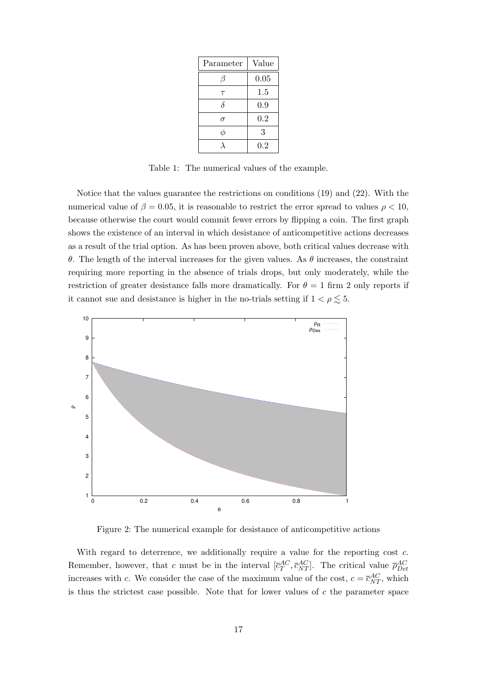| Parameter | Value |
|-----------|-------|
| 17        | 0.05  |
| $\tau$    | 1.5   |
| δ         | 0.9   |
| σ         | 0.2   |
| φ         | 3     |
|           | 0.2   |

Table 1: The numerical values of the example.

Notice that the values guarantee the restrictions on conditions (19) and (22). With the numerical value of  $\beta = 0.05$ , it is reasonable to restrict the error spread to values  $\rho < 10$ , because otherwise the court would commit fewer errors by flipping a coin. The first graph shows the existence of an interval in which desistance of anticompetitive actions decreases as a result of the trial option. As has been proven above, both critical values decrease with θ. The length of the interval increases for the given values. As θ increases, the constraint requiring more reporting in the absence of trials drops, but only moderately, while the restriction of greater desistance falls more dramatically. For  $\theta = 1$  firm 2 only reports if it cannot sue and desistance is higher in the no-trials setting if  $1 < \rho \lesssim 5$ .



Figure 2: The numerical example for desistance of anticompetitive actions

With regard to deterrence, we additionally require a value for the reporting cost c. Remember, however, that c must be in the interval  $[\bar{c}_T^{AC}, \bar{c}_{NT}^{AC}]$ . The critical value  $\bar{\rho}_{Det}^{AC}$ increases with c. We consider the case of the maximum value of the cost,  $c = \bar{c}_{NT}^{AC}$ , which is thus the strictest case possible. Note that for lower values of  $c$  the parameter space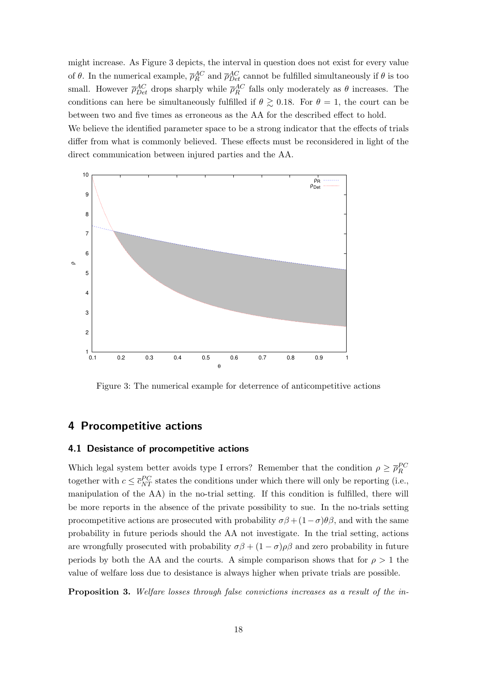might increase. As Figure 3 depicts, the interval in question does not exist for every value of  $\theta$ . In the numerical example,  $\overline{\rho}_R^{AC}$  and  $\overline{\rho}_{Det}^{AC}$  cannot be fulfilled simultaneously if  $\theta$  is too small. However  $\bar{\rho}_{Det}^{AC}$  drops sharply while  $\bar{\rho}_{R}^{AC}$  falls only moderately as  $\theta$  increases. The conditions can here be simultaneously fulfilled if  $\theta \gtrsim 0.18$ . For  $\theta = 1$ , the court can be between two and five times as erroneous as the AA for the described effect to hold. We believe the identified parameter space to be a strong indicator that the effects of trials differ from what is commonly believed. These effects must be reconsidered in light of the



direct communication between injured parties and the AA.

Figure 3: The numerical example for deterrence of anticompetitive actions

### 4 Procompetitive actions

#### 4.1 Desistance of procompetitive actions

Which legal system better avoids type I errors? Remember that the condition  $\rho \geq \overline{\rho}_R^{PC}$ together with  $c \leq \bar{c}_{NT}^{PC}$  states the conditions under which there will only be reporting (i.e., manipulation of the AA) in the no-trial setting. If this condition is fulfilled, there will be more reports in the absence of the private possibility to sue. In the no-trials setting procompetitive actions are prosecuted with probability  $\sigma\beta + (1-\sigma)\theta\beta$ , and with the same probability in future periods should the AA not investigate. In the trial setting, actions are wrongfully prosecuted with probability  $\sigma\beta + (1-\sigma)\rho\beta$  and zero probability in future periods by both the AA and the courts. A simple comparison shows that for  $\rho > 1$  the value of welfare loss due to desistance is always higher when private trials are possible.

**Proposition 3.** Welfare losses through false convictions increases as a result of the in-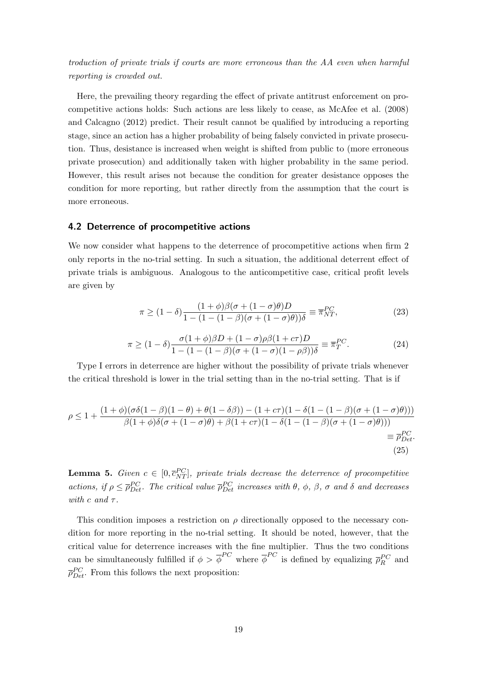troduction of private trials if courts are more erroneous than the AA even when harmful reporting is crowded out.

Here, the prevailing theory regarding the effect of private antitrust enforcement on procompetitive actions holds: Such actions are less likely to cease, as McAfee et al. (2008) and Calcagno (2012) predict. Their result cannot be qualified by introducing a reporting stage, since an action has a higher probability of being falsely convicted in private prosecution. Thus, desistance is increased when weight is shifted from public to (more erroneous private prosecution) and additionally taken with higher probability in the same period. However, this result arises not because the condition for greater desistance opposes the condition for more reporting, but rather directly from the assumption that the court is more erroneous.

#### 4.2 Deterrence of procompetitive actions

We now consider what happens to the deterrence of procompetitive actions when firm 2 only reports in the no-trial setting. In such a situation, the additional deterrent effect of private trials is ambiguous. Analogous to the anticompetitive case, critical profit levels are given by

$$
\pi \ge (1 - \delta) \frac{(1 + \phi)\beta(\sigma + (1 - \sigma)\theta)D}{1 - (1 - (1 - \beta)(\sigma + (1 - \sigma)\theta))\delta} \equiv \overline{\pi}_{NT}^{PC},
$$
\n(23)

$$
\pi \ge (1 - \delta) \frac{\sigma (1 + \phi)\beta D + (1 - \sigma)\rho\beta (1 + c\tau)D}{1 - (1 - (1 - \beta)(\sigma + (1 - \sigma)(1 - \rho\beta)))\delta} \equiv \overline{\pi}_T^{PC}.
$$
\n(24)

Type I errors in deterrence are higher without the possibility of private trials whenever the critical threshold is lower in the trial setting than in the no-trial setting. That is if

$$
\rho \le 1 + \frac{(1+\phi)(\sigma\delta(1-\beta)(1-\theta)+\theta(1-\delta\beta)) - (1+c\tau)(1-\delta(1-(1-\beta)(\sigma+(1-\sigma)\theta)))}{\beta(1+\phi)\delta(\sigma+(1-\sigma)\theta)+\beta(1+c\tau)(1-\delta(1-(1-\beta)(\sigma+(1-\sigma)\theta)))} = \overline{\rho}_{Det}^{PC}.
$$
\n(25)

**Lemma 5.** Given  $c \in [0, \overline{c}_{NT}^{PC}],$  private trials decrease the deterrence of procompetitive actions, if  $\rho \leq \bar{\rho}_{Det}^{PC}$ . The critical value  $\bar{\rho}_{Det}^{PC}$  increases with  $\theta$ ,  $\phi$ ,  $\beta$ ,  $\sigma$  and  $\delta$  and decreases with c and  $\tau$ .

This condition imposes a restriction on  $\rho$  directionally opposed to the necessary condition for more reporting in the no-trial setting. It should be noted, however, that the critical value for deterrence increases with the fine multiplier. Thus the two conditions can be simultaneously fulfilled if  $\phi > \bar{\phi}^{PC}$  where  $\bar{\phi}^{PC}$  is defined by equalizing  $\bar{\rho}_R^{PC}$  and  $\bar{\rho}_{Det}^{PC}$ . From this follows the next proposition: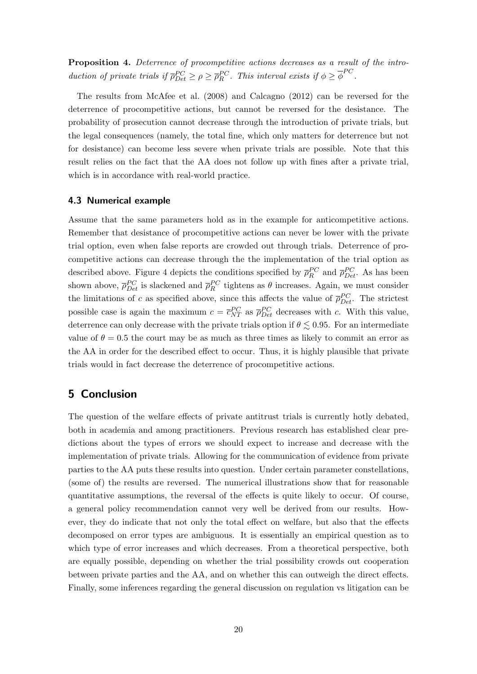Proposition 4. Deterrence of procompetitive actions decreases as a result of the introduction of private trials if  $\overline{\rho}_{Det}^{PC} \ge \rho \ge \overline{\rho}_R^{PC}$ . This interval exists if  $\phi \ge \overline{\phi}^{PC}$ .

The results from McAfee et al. (2008) and Calcagno (2012) can be reversed for the deterrence of procompetitive actions, but cannot be reversed for the desistance. The probability of prosecution cannot decrease through the introduction of private trials, but the legal consequences (namely, the total fine, which only matters for deterrence but not for desistance) can become less severe when private trials are possible. Note that this result relies on the fact that the AA does not follow up with fines after a private trial, which is in accordance with real-world practice.

#### 4.3 Numerical example

Assume that the same parameters hold as in the example for anticompetitive actions. Remember that desistance of procompetitive actions can never be lower with the private trial option, even when false reports are crowded out through trials. Deterrence of procompetitive actions can decrease through the the implementation of the trial option as described above. Figure 4 depicts the conditions specified by  $\bar{\rho}_R^{PC}$  and  $\bar{\rho}_{Det}^{PC}$ . As has been shown above,  $\overline{\rho}_{Det}^{PC}$  is slackened and  $\overline{\rho}_{R}^{PC}$  tightens as  $\theta$  increases. Again, we must consider the limitations of c as specified above, since this affects the value of  $\bar{\rho}_{Det}^{PC}$ . The strictest possible case is again the maximum  $c = \bar{c}_{NT}^{PC}$  as  $\bar{\rho}_{Det}^{PC}$  decreases with c. With this value, deterrence can only decrease with the private trials option if  $\theta \lesssim 0.95$ . For an intermediate value of  $\theta = 0.5$  the court may be as much as three times as likely to commit an error as the AA in order for the described effect to occur. Thus, it is highly plausible that private trials would in fact decrease the deterrence of procompetitive actions.

## 5 Conclusion

The question of the welfare effects of private antitrust trials is currently hotly debated, both in academia and among practitioners. Previous research has established clear predictions about the types of errors we should expect to increase and decrease with the implementation of private trials. Allowing for the communication of evidence from private parties to the AA puts these results into question. Under certain parameter constellations, (some of) the results are reversed. The numerical illustrations show that for reasonable quantitative assumptions, the reversal of the effects is quite likely to occur. Of course, a general policy recommendation cannot very well be derived from our results. However, they do indicate that not only the total effect on welfare, but also that the effects decomposed on error types are ambiguous. It is essentially an empirical question as to which type of error increases and which decreases. From a theoretical perspective, both are equally possible, depending on whether the trial possibility crowds out cooperation between private parties and the AA, and on whether this can outweigh the direct effects. Finally, some inferences regarding the general discussion on regulation vs litigation can be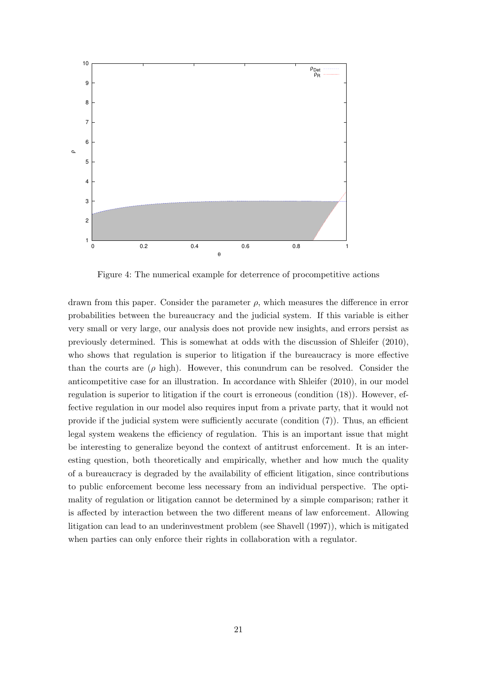

Figure 4: The numerical example for deterrence of procompetitive actions

drawn from this paper. Consider the parameter  $\rho$ , which measures the difference in error probabilities between the bureaucracy and the judicial system. If this variable is either very small or very large, our analysis does not provide new insights, and errors persist as previously determined. This is somewhat at odds with the discussion of Shleifer (2010), who shows that regulation is superior to litigation if the bureaucracy is more effective than the courts are  $(\rho \text{ high})$ . However, this conundrum can be resolved. Consider the anticompetitive case for an illustration. In accordance with Shleifer (2010), in our model regulation is superior to litigation if the court is erroneous (condition (18)). However, effective regulation in our model also requires input from a private party, that it would not provide if the judicial system were sufficiently accurate (condition  $(7)$ ). Thus, an efficient legal system weakens the efficiency of regulation. This is an important issue that might be interesting to generalize beyond the context of antitrust enforcement. It is an interesting question, both theoretically and empirically, whether and how much the quality of a bureaucracy is degraded by the availability of efficient litigation, since contributions to public enforcement become less necessary from an individual perspective. The optimality of regulation or litigation cannot be determined by a simple comparison; rather it is affected by interaction between the two different means of law enforcement. Allowing litigation can lead to an underinvestment problem (see Shavell (1997)), which is mitigated when parties can only enforce their rights in collaboration with a regulator.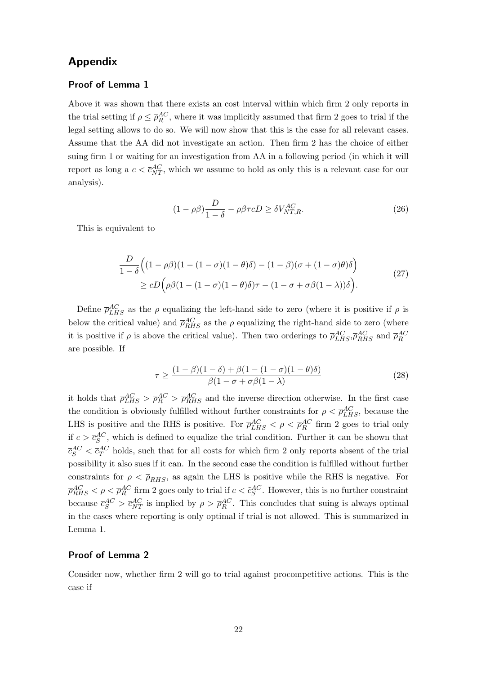## Appendix

#### Proof of Lemma 1

Above it was shown that there exists an cost interval within which firm 2 only reports in the trial setting if  $\rho \leq \bar{\rho}_R^{AC}$ , where it was implicitly assumed that firm 2 goes to trial if the legal setting allows to do so. We will now show that this is the case for all relevant cases. Assume that the AA did not investigate an action. Then firm 2 has the choice of either suing firm 1 or waiting for an investigation from AA in a following period (in which it will report as long a  $c < \bar{c}_{NT}^{AC}$ , which we assume to hold as only this is a relevant case for our analysis).

$$
(1 - \rho \beta) \frac{D}{1 - \delta} - \rho \beta \tau cD \ge \delta V_{NT,R}^{AC}.
$$
 (26)

This is equivalent to

$$
\frac{D}{1-\delta} \Big( (1-\rho\beta)(1-(1-\sigma)(1-\theta)\delta) - (1-\beta)(\sigma + (1-\sigma)\theta)\delta \Big) \ge cD \Big( \rho\beta(1-(1-\sigma)(1-\theta)\delta)\tau - (1-\sigma+\sigma\beta(1-\lambda))\delta \Big).
$$
\n(27)

Define  $\bar{\rho}_{LHS}^{AC}$  as the  $\rho$  equalizing the left-hand side to zero (where it is positive if  $\rho$  is below the critical value) and  $\bar{\rho}_{RHS}^{AC}$  as the  $\rho$  equalizing the right-hand side to zero (where it is positive if  $\rho$  is above the critical value). Then two orderings to  $\bar{\rho}_{LHS}^{AC}, \bar{\rho}_{RHS}^{AC}$  and  $\bar{\rho}_{R}^{AC}$ are possible. If

$$
\tau \ge \frac{(1-\beta)(1-\delta) + \beta(1 - (1-\sigma)(1-\theta)\delta)}{\beta(1-\sigma+\sigma\beta(1-\lambda))}
$$
\n(28)

it holds that  $\bar{\rho}_{LHS}^{AC} > \bar{\rho}_{RHS}^{AC}$  and the inverse direction otherwise. In the first case the condition is obviously fulfilled without further constraints for  $\rho < \bar{\rho}_{LHS}^{AC}$ , because the LHS is positive and the RHS is positive. For  $\bar{\rho}_{LHS}^{AC} < \rho < \bar{\rho}_{R}^{AC}$  firm 2 goes to trial only if  $c > \bar{c}_S^{AC}$ , which is defined to equalize the trial condition. Further it can be shown that  $\bar{c}_S^{AC} < \bar{c}_T^{AC}$  holds, such that for all costs for which firm 2 only reports absent of the trial possibility it also sues if it can. In the second case the condition is fulfilled without further constraints for  $\rho < \bar{\rho}_{RHS}$ , as again the LHS is positive while the RHS is negative. For  $\overline{\rho}_{RHS}^{AC} < \rho < \overline{\rho}_R^{AC}$  firm 2 goes only to trial if  $c < \tilde{c}_S^{AC}$ . However, this is no further constraint because  $\bar{c}_S^{AC} > \bar{c}_{NT}^{AC}$  is implied by  $\rho > \bar{\rho}_R^{AC}$ . This concludes that suing is always optimal in the cases where reporting is only optimal if trial is not allowed. This is summarized in Lemma 1.

#### Proof of Lemma 2

Consider now, whether firm 2 will go to trial against procompetitive actions. This is the case if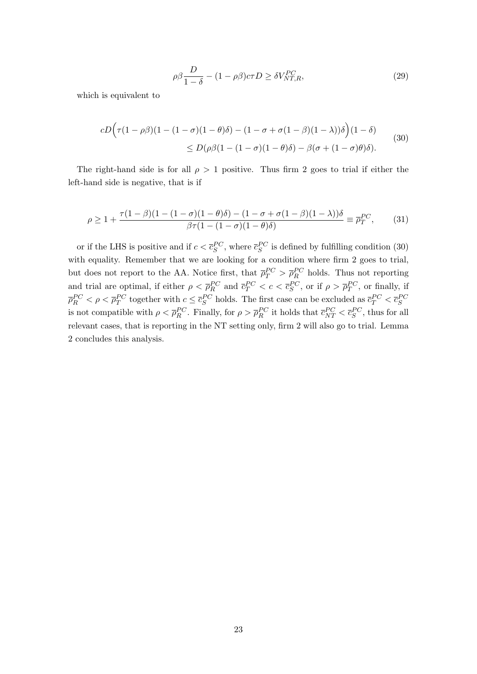$$
\rho \beta \frac{D}{1 - \delta} - (1 - \rho \beta)c\tau D \ge \delta V_{NT,R}^{PC},\tag{29}
$$

which is equivalent to

$$
cD\Big(\tau(1-\rho\beta)(1-(1-\sigma)(1-\theta)\delta) - (1-\sigma+\sigma(1-\beta)(1-\lambda))\delta\Big)(1-\delta)
$$
  
 
$$
\leq D(\rho\beta(1-(1-\sigma)(1-\theta)\delta) - \beta(\sigma+(1-\sigma)\theta)\delta).
$$
 (30)

The right-hand side is for all  $\rho > 1$  positive. Thus firm 2 goes to trial if either the left-hand side is negative, that is if

$$
\rho \ge 1 + \frac{\tau(1-\beta)(1-(1-\sigma)(1-\theta)\delta) - (1-\sigma+\sigma(1-\beta)(1-\lambda))\delta}{\beta\tau(1-(1-\sigma)(1-\theta)\delta)} \equiv \overline{\rho}_T^{PC},\tag{31}
$$

or if the LHS is positive and if  $c < \bar{c}_S^{PC}$ , where  $\bar{c}_S^{PC}$  is defined by fulfilling condition (30) with equality. Remember that we are looking for a condition where firm 2 goes to trial, but does not report to the AA. Notice first, that  $\bar{p}_T^{PC} > \bar{p}_R^{PC}$  holds. Thus not reporting and trial are optimal, if either  $\rho < \overline{\rho}_R^{PC}$  and  $\overline{c}_T^{PC} < c < \overline{c}_S^{PC}$ , or if  $\rho > \overline{\rho}_T^{PC}$ , or finally, if  $\overline{\rho}_R^{PC} < \rho < \overline{\rho}_T^{PC}$  together with  $c \leq \overline{c}_S^{PC}$  holds. The first case can be excluded as  $\overline{c}_T^{PC} < \overline{c}_S^{PC}$ is not compatible with  $\rho < \overline{\rho}_R^{PC}$ . Finally, for  $\rho > \overline{\rho}_R^{PC}$  it holds that  $\overline{c}_{NT}^{PC} < \overline{c}_S^{PC}$ , thus for all relevant cases, that is reporting in the NT setting only, firm 2 will also go to trial. Lemma 2 concludes this analysis.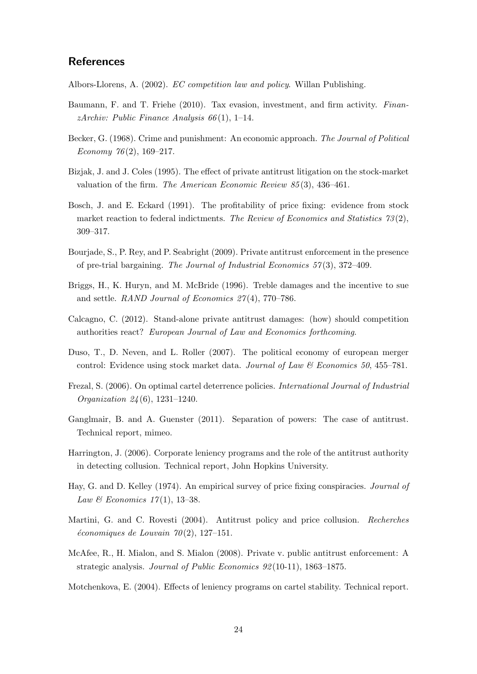## **References**

Albors-Llorens, A. (2002). EC competition law and policy. Willan Publishing.

- Baumann, F. and T. Friehe (2010). Tax evasion, investment, and firm activity. FinanzArchiv: Public Finance Analysis  $66(1)$ , 1–14.
- Becker, G. (1968). Crime and punishment: An economic approach. The Journal of Political Economy  $76(2)$ , 169-217.
- Bizjak, J. and J. Coles (1995). The effect of private antitrust litigation on the stock-market valuation of the firm. The American Economic Review 85 (3), 436–461.
- Bosch, J. and E. Eckard (1991). The profitability of price fixing: evidence from stock market reaction to federal indictments. The Review of Economics and Statistics  $73(2)$ , 309–317.
- Bourjade, S., P. Rey, and P. Seabright (2009). Private antitrust enforcement in the presence of pre-trial bargaining. The Journal of Industrial Economics  $57(3)$ ,  $372-409$ .
- Briggs, H., K. Huryn, and M. McBride (1996). Treble damages and the incentive to sue and settle. RAND Journal of Economics 27 (4), 770–786.
- Calcagno, C. (2012). Stand-alone private antitrust damages: (how) should competition authorities react? European Journal of Law and Economics forthcoming.
- Duso, T., D. Neven, and L. Roller (2007). The political economy of european merger control: Evidence using stock market data. Journal of Law  $\mathcal C$  Economics 50, 455–781.
- Frezal, S. (2006). On optimal cartel deterrence policies. International Journal of Industrial Organization 24 (6), 1231–1240.
- Ganglmair, B. and A. Guenster (2011). Separation of powers: The case of antitrust. Technical report, mimeo.
- Harrington, J. (2006). Corporate leniency programs and the role of the antitrust authority in detecting collusion. Technical report, John Hopkins University.
- Hay, G. and D. Kelley (1974). An empirical survey of price fixing conspiracies. Journal of Law & Economics  $17(1)$ , 13-38.
- Martini, G. and C. Rovesti (2004). Antitrust policy and price collusion. Recherches  $économiques de Louvain 70(2), 127-151.$
- McAfee, R., H. Mialon, and S. Mialon (2008). Private v. public antitrust enforcement: A strategic analysis. Journal of Public Economics 92 (10-11), 1863–1875.

Motchenkova, E. (2004). Effects of leniency programs on cartel stability. Technical report.